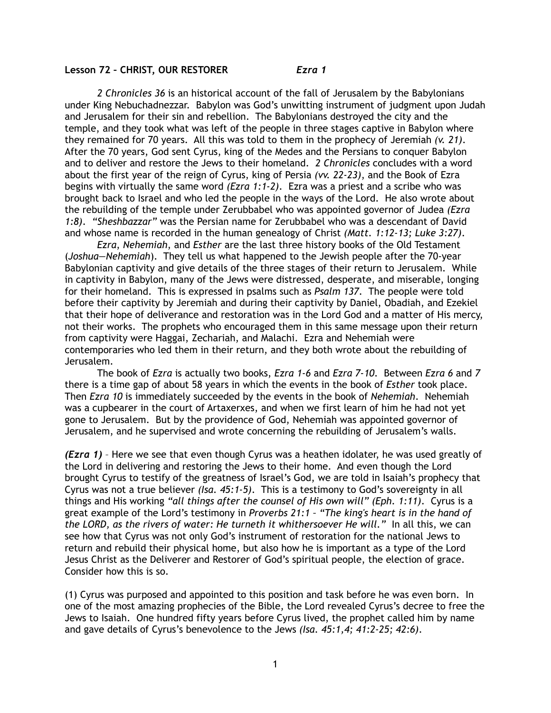## **Lesson 72 – CHRIST, OUR RESTORER** *Ezra 1*

*2 Chronicles 36* is an historical account of the fall of Jerusalem by the Babylonians under King Nebuchadnezzar. Babylon was God's unwitting instrument of judgment upon Judah and Jerusalem for their sin and rebellion. The Babylonians destroyed the city and the temple, and they took what was left of the people in three stages captive in Babylon where they remained for 70 years. All this was told to them in the prophecy of Jeremiah *(v. 21)*. After the 70 years, God sent Cyrus, king of the Medes and the Persians to conquer Babylon and to deliver and restore the Jews to their homeland. *2 Chronicles* concludes with a word about the first year of the reign of Cyrus, king of Persia *(vv. 22-23)*, and the Book of Ezra begins with virtually the same word *(Ezra 1:1-2)*. Ezra was a priest and a scribe who was brought back to Israel and who led the people in the ways of the Lord. He also wrote about the rebuilding of the temple under Zerubbabel who was appointed governor of Judea *(Ezra 1:8)*. *"Sheshbazzar"* was the Persian name for Zerubbabel who was a descendant of David and whose name is recorded in the human genealogy of Christ *(Matt. 1:12-13; Luke 3:27)*.

*Ezra*, *Nehemiah*, and *Esther* are the last three history books of the Old Testament (*Joshua—Nehemiah*). They tell us what happened to the Jewish people after the 70-year Babylonian captivity and give details of the three stages of their return to Jerusalem. While in captivity in Babylon, many of the Jews were distressed, desperate, and miserable, longing for their homeland. This is expressed in psalms such as *Psalm 137*. The people were told before their captivity by Jeremiah and during their captivity by Daniel, Obadiah, and Ezekiel that their hope of deliverance and restoration was in the Lord God and a matter of His mercy, not their works. The prophets who encouraged them in this same message upon their return from captivity were Haggai, Zechariah, and Malachi. Ezra and Nehemiah were contemporaries who led them in their return, and they both wrote about the rebuilding of Jerusalem.

The book of *Ezra* is actually two books, *Ezra 1-6* and *Ezra 7-10*. Between *Ezra 6* and *7* there is a time gap of about 58 years in which the events in the book of *Esther* took place. Then *Ezra 10* is immediately succeeded by the events in the book of *Nehemiah*. Nehemiah was a cupbearer in the court of Artaxerxes, and when we first learn of him he had not yet gone to Jerusalem. But by the providence of God, Nehemiah was appointed governor of Jerusalem, and he supervised and wrote concerning the rebuilding of Jerusalem's walls.

*(Ezra 1)* – Here we see that even though Cyrus was a heathen idolater, he was used greatly of the Lord in delivering and restoring the Jews to their home. And even though the Lord brought Cyrus to testify of the greatness of Israel's God, we are told in Isaiah's prophecy that Cyrus was not a true believer *(Isa. 45:1-5)*. This is a testimony to God's sovereignty in all things and His working *"all things after the counsel of His own will" (Eph. 1:11)*. Cyrus is a great example of the Lord's testimony in *Proverbs 21:1 – "The king's heart is in the hand of the LORD, as the rivers of water: He turneth it whithersoever He will."* In all this, we can see how that Cyrus was not only God's instrument of restoration for the national Jews to return and rebuild their physical home, but also how he is important as a type of the Lord Jesus Christ as the Deliverer and Restorer of God's spiritual people, the election of grace. Consider how this is so.

(1) Cyrus was purposed and appointed to this position and task before he was even born. In one of the most amazing prophecies of the Bible, the Lord revealed Cyrus's decree to free the Jews to Isaiah. One hundred fifty years before Cyrus lived, the prophet called him by name and gave details of Cyrus's benevolence to the Jews *(Isa. 45:1,4; 41:2-25; 42:6)*.